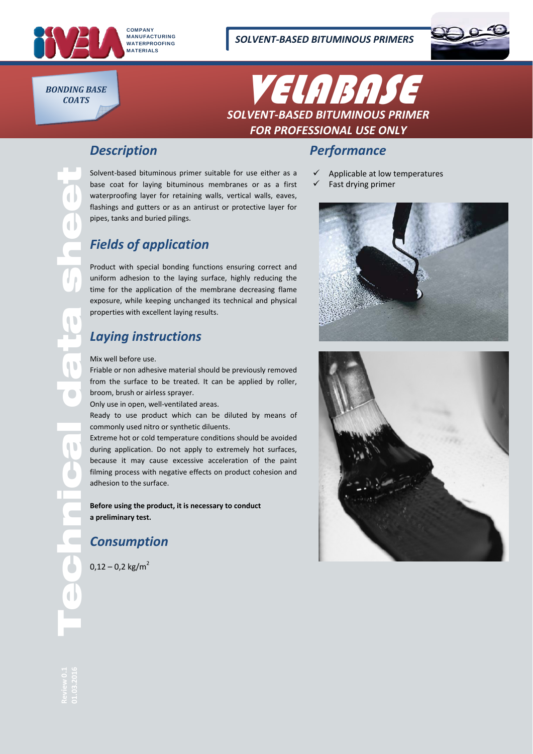

*COATS*

BONDING BASE **BONDING BASE** *SOLVENT‐BASED BITUMINOUS PRIMER FOR PROFESSIONAL USE ONLY*

## *Description*

Solvent-based bituminous primer suitable for use either as a base coat for laying bituminous membranes or as a first waterproofing layer for retaining walls, vertical walls, eaves, flashings and gutters or as an antirust or protective layer for pipes, tanks and buried pilings.

# *Fields of application*

Product with special bonding functions ensuring correct and uniform adhesion to the laying surface, highly reducing the time for the application of the membrane decreasing flame exposure, while keeping unchanged its technical and physical properties with excellent laying results.

# *Laying instructions*

#### Mix well before use.

Friable or non adhesive material should be previously removed from the surface to be treated. It can be applied by roller, broom, brush or airless sprayer.

Only use in open, well‐ventilated areas.

Ready to use product which can be diluted by means of commonly used nitro or synthetic diluents.

adhesion to the surface. Extreme hot or cold temperature conditions should be avoided during application. Do not apply to extremely hot surfaces, because it may cause excessive acceleration of the paint filming process with negative effects on product cohesion and

> **Before using the product, it is necessary to conduct a preliminary test.**

# *Consumption*

 $0.12 - 0.2$  kg/m<sup>2</sup>

#### *Performance*

- Applicable at low temperatures
- $\checkmark$  Fast drying primer





Technical data sheet

0